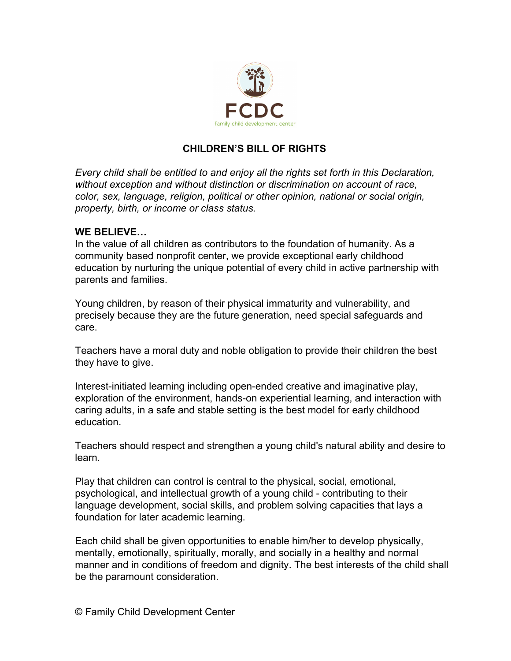

## **CHILDREN'S BILL OF RIGHTS**

*Every child shall be entitled to and enjoy all the rights set forth in this Declaration, without exception and without distinction or discrimination on account of race, color, sex, language, religion, political or other opinion, national or social origin, property, birth, or income or class status.*

## **WE BELIEVE…**

In the value of all children as contributors to the foundation of humanity. As a community based nonprofit center, we provide exceptional early childhood education by nurturing the unique potential of every child in active partnership with parents and families.

Young children, by reason of their physical immaturity and vulnerability, and precisely because they are the future generation, need special safeguards and care.

Teachers have a moral duty and noble obligation to provide their children the best they have to give.

Interest-initiated learning including open-ended creative and imaginative play, exploration of the environment, hands-on experiential learning, and interaction with caring adults, in a safe and stable setting is the best model for early childhood education.

Teachers should respect and strengthen a young child's natural ability and desire to learn.

Play that children can control is central to the physical, social, emotional, psychological, and intellectual growth of a young child - contributing to their language development, social skills, and problem solving capacities that lays a foundation for later academic learning.

Each child shall be given opportunities to enable him/her to develop physically, mentally, emotionally, spiritually, morally, and socially in a healthy and normal manner and in conditions of freedom and dignity. The best interests of the child shall be the paramount consideration.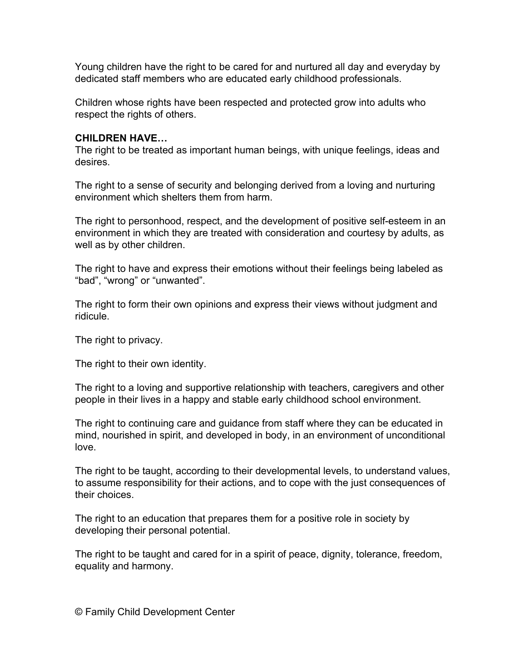Young children have the right to be cared for and nurtured all day and everyday by dedicated staff members who are educated early childhood professionals.

Children whose rights have been respected and protected grow into adults who respect the rights of others.

## **CHILDREN HAVE…**

The right to be treated as important human beings, with unique feelings, ideas and desires.

The right to a sense of security and belonging derived from a loving and nurturing environment which shelters them from harm.

The right to personhood, respect, and the development of positive self-esteem in an environment in which they are treated with consideration and courtesy by adults, as well as by other children.

The right to have and express their emotions without their feelings being labeled as "bad", "wrong" or "unwanted".

The right to form their own opinions and express their views without judgment and ridicule.

The right to privacy.

The right to their own identity.

The right to a loving and supportive relationship with teachers, caregivers and other people in their lives in a happy and stable early childhood school environment.

The right to continuing care and guidance from staff where they can be educated in mind, nourished in spirit, and developed in body, in an environment of unconditional love.

The right to be taught, according to their developmental levels, to understand values, to assume responsibility for their actions, and to cope with the just consequences of their choices.

The right to an education that prepares them for a positive role in society by developing their personal potential.

The right to be taught and cared for in a spirit of peace, dignity, tolerance, freedom, equality and harmony.